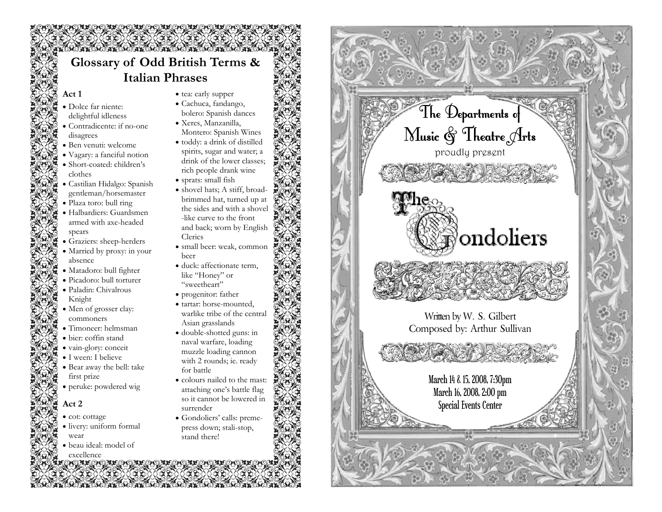# **Glossary of Odd British Terms & Italian Phrases**

#### **Act 1**

- Dolce far niente: delightful idleness
- Contradicente: if no-one disagrees
- Ben venuti: welcome • Vagary: a fanciful notion
- Short-coated: children's clothes
- Castilian Hidalgo: Spanish gentleman/horsemaster
- Plaza toro: bull ring
- Halbardiers: Guardsmen armed with axe-headed spears
- Graziers: sheep-herders
- Married by proxy: in your absence
- Matadoro: bull fighter
- Picadoro: bull torturer • Paladin: Chivalrous
- Knight
- Men of grosser clay: commoners
- Timoneer: helmsman
- bier: coffin stand
- vain-glory: conceit
- I ween: I believe
- Bear away the bell: take first prize
- peruke: powdered wig

### **Act 2**

- cot: cottage
- livery: uniform formal wear
- beau ideal: model of
- excellence
- tea: early supper
- Cachuca, fandango, bolero: Spanish dances
- Xeres, Manzanilla,
- Montero: Spanish Wines • toddy: a drink of distilled
- spirits, sugar and water; a drink of the lower classes; rich people drank wine
- sprats: small fish
- shovel hats; A stiff, broadbrimmed hat, turned up at the sides and with a shovel -like curve to the front and back; worn by English Clerics
- small beer: weak, common beer
- duck: affectionate term, like "Honey" or "sweetheart"
- progenitor: father
- tartar: horse-mounted, warlike tribe of the central Asian grasslands
- double-shotted guns: in naval warfare, loading muzzle loading cannon with 2 rounds; ie. ready for battle
- colours nailed to the mast: attaching one's battle flag so it cannot be lowered in surrender
- Gondoliers' calls: premepress down; stali-stop, stand there!

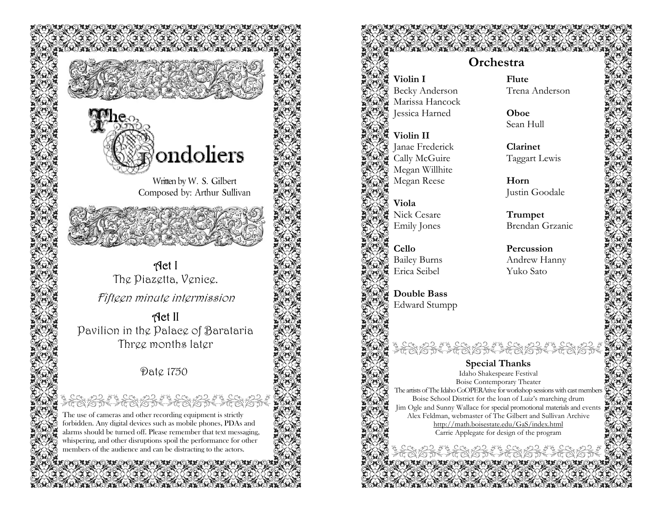

Written by W. S. Gilbert Composed by: Arthur Sullivan

Act I The Piazetta, Venice.

Fifteen minute intermission

Act II Pavilion in the Palace of Barataria Three months later

## Date 1750

The use of cameras and other recording equipment is strictly forbidden. Any digital devices such as mobile phones, PDAs and alarms should be turned off. Please remember that text messaging, whispering, and other disruptions spoil the performance for other members of the audience and can be distracting to the actors.

**Violin I** Becky Anderson Marissa Hancock Jessica Harned

**Violin II** Janae Frederick Cally McGuire Megan Willhite Megan Reese

**Viola** Nick Cesare Emily Jones

**Cello** Bailey Burns Erica Seibel

> **Double Bass**  Edward Stumpp

**Flute** Trena Anderson

**Oboe** Sean Hull

**Clarinet** Taggart Lewis

**Horn** Justin Goodale

**Trumpet**  Brendan Grzanic

**Percussion** Andrew Hanny Yuko Sato

**Special Thanks**  Idaho Shakespeare Festival Boise Contemporary Theater The artists of The Idaho CoOPERAtive for workshop sessions with cast members Boise School District for the loan of Luiz's marching drum Jim Ogle and Sunny Wallace for special promotional materials and events Alex Feldman, webmaster of The Gilbert and Sullivan Archive http://math.boisestate.edu/GaS/index.html Carrie Applegate for design of the program

## **Orchestra**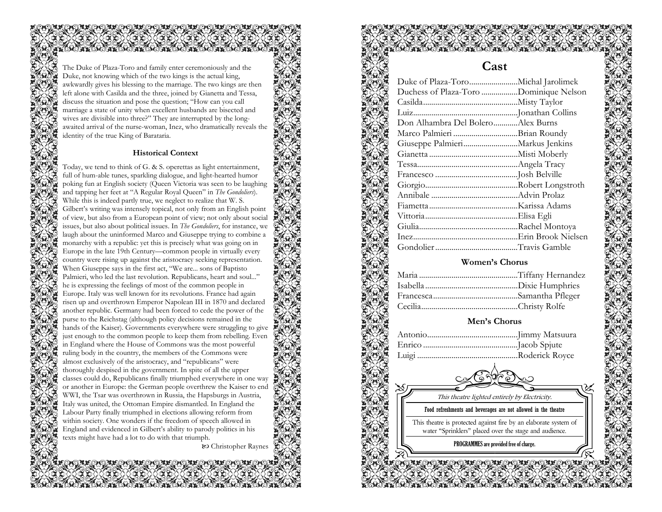The Duke of Plaza-Toro and family enter ceremoniously and the Duke, not knowing which of the two kings is the actual king, awkwardly gives his blessing to the marriage. The two kings are then left alone with Casilda and the three, joined by Gianetta and Tessa, discuss the situation and pose the question; "How can you call marriage a state of unity when excellent husbands are bisected and wives are divisible into three?" They are interrupted by the longawaited arrival of the nurse-woman, Inez, who dramatically reveals the identity of the true King of Barataria.

#### **Historical Context**

Today, we tend to think of G. & S. operettas as light entertainment, full of hum-able tunes, sparkling dialogue, and light-hearted humor poking fun at English society (Queen Victoria was seen to be laughing and tapping her feet at "A Regular Royal Queen" in *The Gondoliers*). While this is indeed partly true, we neglect to realize that W. S. Gilbert's writing was intensely topical, not only from an English point of view, but also from a European point of view; not only about social issues, but also about political issues. In *The Gondoliers*, for instance, we laugh about the uninformed Marco and Giuseppe trying to combine a monarchy with a republic: yet this is precisely what was going on in Europe in the late 19th Century—common people in virtually every country were rising up against the aristocracy seeking representation. When Giuseppe says in the first act, "We are... sons of Baptisto Palmieri, who led the last revolution. Republicans, heart and soul..." he is expressing the feelings of most of the common people in Europe. Italy was well known for its revolutions. France had again risen up and overthrown Emperor Napolean III in 1870 and declared another republic. Germany had been forced to cede the power of the purse to the Reichstag (although policy decisions remained in the hands of the Kaiser). Governments everywhere were struggling to give just enough to the common people to keep them from rebelling. Even in England where the House of Commons was the most powerful ruling body in the country, the members of the Commons were almost exclusively of the aristocracy, and "republicans" were thoroughly despised in the government. In spite of all the upper classes could do, Republicans finally triumphed everywhere in one way or another in Europe: the German people overthrew the Kaiser to end WWI, the Tsar was overthrown in Russia, the Hapsburgs in Austria, Italy was united, the Ottoman Empire dismantled. In England the Labour Party finally triumphed in elections allowing reform from within society. One wonders if the freedom of speech allowed in England and evidenced in Gilbert's ability to parody politics in his texts might have had a lot to do with that triumph.

<sup>X</sup> Christopher Raynes

## **Cast**

| Duchess of Plaza-Toro Dominique Nelson |  |
|----------------------------------------|--|
|                                        |  |
|                                        |  |
| Don Alhambra Del BoleroAlex Burns      |  |
|                                        |  |
|                                        |  |
|                                        |  |
|                                        |  |
|                                        |  |
|                                        |  |
|                                        |  |
|                                        |  |
|                                        |  |
|                                        |  |
|                                        |  |
|                                        |  |
|                                        |  |

#### **Women's Chorus**

#### **Men's Chorus**

This theatre lighted entirely by Electricity.

Food refreshments and beverages are not allowed in the theatre

This theatre is protected against fire by an elaborate system of water "Sprinklers" placed over the stage and audience.

PROGRAMMES are provided free of charge.